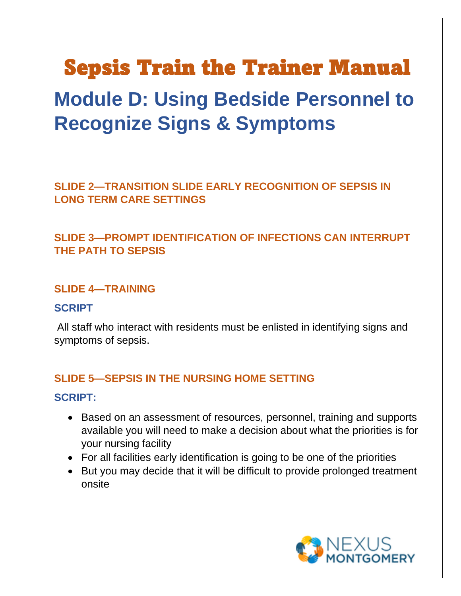# Sepsis Train the Trainer Manual

## **Module D: Using Bedside Personnel to Recognize Signs & Symptoms**

**SLIDE 2—TRANSITION SLIDE EARLY RECOGNITION OF SEPSIS IN LONG TERM CARE SETTINGS**

**SLIDE 3—PROMPT IDENTIFICATION OF INFECTIONS CAN INTERRUPT THE PATH TO SEPSIS**

#### **SLIDE 4—TRAINING**

#### **SCRIPT**

All staff who interact with residents must be enlisted in identifying signs and symptoms of sepsis.

#### **SLIDE 5—SEPSIS IN THE NURSING HOME SETTING**

#### **SCRIPT:**

- Based on an assessment of resources, personnel, training and supports available you will need to make a decision about what the priorities is for your nursing facility
- For all facilities early identification is going to be one of the priorities
- But you may decide that it will be difficult to provide prolonged treatment onsite

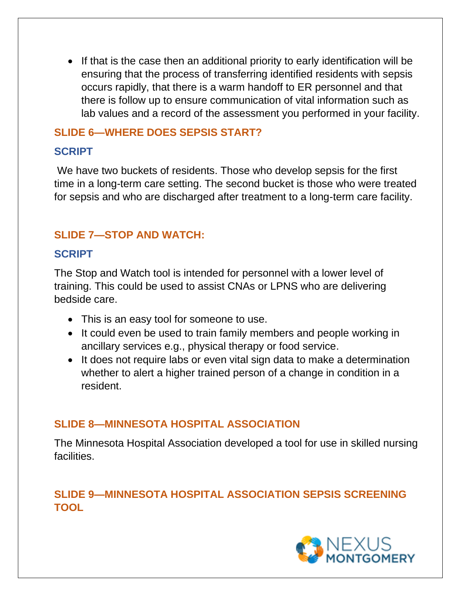• If that is the case then an additional priority to early identification will be ensuring that the process of transferring identified residents with sepsis occurs rapidly, that there is a warm handoff to ER personnel and that there is follow up to ensure communication of vital information such as lab values and a record of the assessment you performed in your facility.

#### **SLIDE 6—WHERE DOES SEPSIS START?**

## **SCRIPT**

We have two buckets of residents. Those who develop sepsis for the first time in a long-term care setting. The second bucket is those who were treated for sepsis and who are discharged after treatment to a long-term care facility.

## **SLIDE 7—STOP AND WATCH:**

#### **SCRIPT**

The Stop and Watch tool is intended for personnel with a lower level of training. This could be used to assist CNAs or LPNS who are delivering bedside care.

- This is an easy tool for someone to use.
- It could even be used to train family members and people working in ancillary services e.g., physical therapy or food service.
- It does not require labs or even vital sign data to make a determination whether to alert a higher trained person of a change in condition in a resident.

#### **SLIDE 8—MINNESOTA HOSPITAL ASSOCIATION**

The Minnesota Hospital Association developed a tool for use in skilled nursing facilities.

## **SLIDE 9—MINNESOTA HOSPITAL ASSOCIATION SEPSIS SCREENING TOOL**

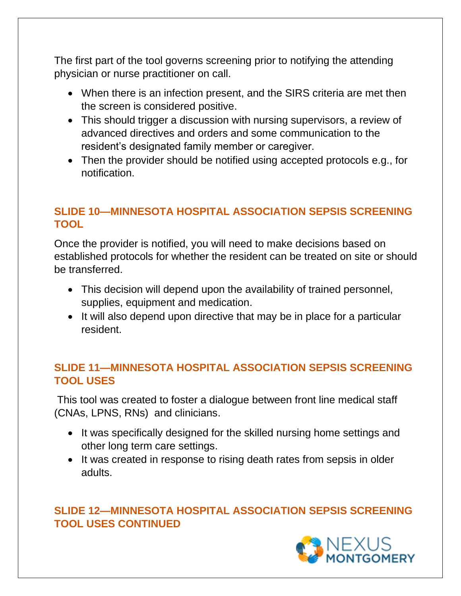The first part of the tool governs screening prior to notifying the attending physician or nurse practitioner on call.

- When there is an infection present, and the SIRS criteria are met then the screen is considered positive.
- This should trigger a discussion with nursing supervisors, a review of advanced directives and orders and some communication to the resident's designated family member or caregiver.
- Then the provider should be notified using accepted protocols e.g., for notification.

## **SLIDE 10—MINNESOTA HOSPITAL ASSOCIATION SEPSIS SCREENING TOOL**

Once the provider is notified, you will need to make decisions based on established protocols for whether the resident can be treated on site or should be transferred.

- This decision will depend upon the availability of trained personnel, supplies, equipment and medication.
- It will also depend upon directive that may be in place for a particular resident.

## **SLIDE 11—MINNESOTA HOSPITAL ASSOCIATION SEPSIS SCREENING TOOL USES**

This tool was created to foster a dialogue between front line medical staff (CNAs, LPNS, RNs) and clinicians.

- It was specifically designed for the skilled nursing home settings and other long term care settings.
- It was created in response to rising death rates from sepsis in older adults.

**SLIDE 12—MINNESOTA HOSPITAL ASSOCIATION SEPSIS SCREENING TOOL USES CONTINUED**

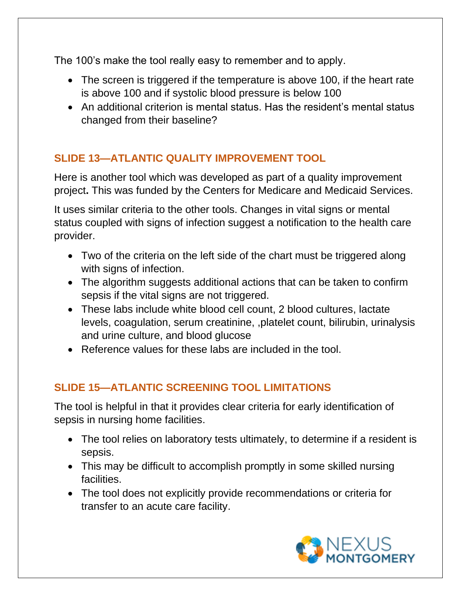The 100's make the tool really easy to remember and to apply.

- The screen is triggered if the temperature is above 100, if the heart rate is above 100 and if systolic blood pressure is below 100
- An additional criterion is mental status. Has the resident's mental status changed from their baseline?

## **SLIDE 13—ATLANTIC QUALITY IMPROVEMENT TOOL**

Here is another tool which was developed as part of a quality improvement project**.** This was funded by the Centers for Medicare and Medicaid Services.

It uses similar criteria to the other tools. Changes in vital signs or mental status coupled with signs of infection suggest a notification to the health care provider.

- Two of the criteria on the left side of the chart must be triggered along with signs of infection.
- The algorithm suggests additional actions that can be taken to confirm sepsis if the vital signs are not triggered.
- These labs include white blood cell count, 2 blood cultures, lactate levels, coagulation, serum creatinine, ,platelet count, bilirubin, urinalysis and urine culture, and blood glucose
- Reference values for these labs are included in the tool.

## **SLIDE 15—ATLANTIC SCREENING TOOL LIMITATIONS**

The tool is helpful in that it provides clear criteria for early identification of sepsis in nursing home facilities.

- The tool relies on laboratory tests ultimately, to determine if a resident is sepsis.
- This may be difficult to accomplish promptly in some skilled nursing facilities.
- The tool does not explicitly provide recommendations or criteria for transfer to an acute care facility.

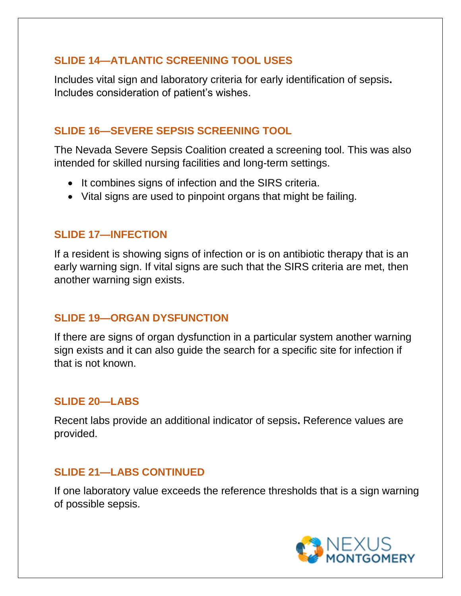#### **SLIDE 14—ATLANTIC SCREENING TOOL USES**

Includes vital sign and laboratory criteria for early identification of sepsis**.**  Includes consideration of patient's wishes.

## **SLIDE 16—SEVERE SEPSIS SCREENING TOOL**

The Nevada Severe Sepsis Coalition created a screening tool. This was also intended for skilled nursing facilities and long-term settings.

- It combines signs of infection and the SIRS criteria.
- Vital signs are used to pinpoint organs that might be failing.

#### **SLIDE 17—INFECTION**

If a resident is showing signs of infection or is on antibiotic therapy that is an early warning sign. If vital signs are such that the SIRS criteria are met, then another warning sign exists.

#### **SLIDE 19—ORGAN DYSFUNCTION**

If there are signs of organ dysfunction in a particular system another warning sign exists and it can also guide the search for a specific site for infection if that is not known.

#### **SLIDE 20—LABS**

Recent labs provide an additional indicator of sepsis**.** Reference values are provided.

#### **SLIDE 21—LABS CONTINUED**

If one laboratory value exceeds the reference thresholds that is a sign warning of possible sepsis.

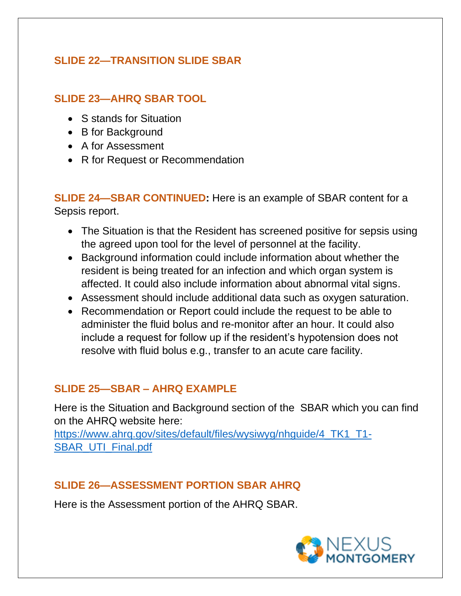## **SLIDE 22—TRANSITION SLIDE SBAR**

## **SLIDE 23—AHRQ SBAR TOOL**

- S stands for Situation
- B for Background
- A for Assessment
- R for Request or Recommendation

**SLIDE 24—SBAR CONTINUED:** Here is an example of SBAR content for a Sepsis report.

- The Situation is that the Resident has screened positive for sepsis using the agreed upon tool for the level of personnel at the facility.
- Background information could include information about whether the resident is being treated for an infection and which organ system is affected. It could also include information about abnormal vital signs.
- Assessment should include additional data such as oxygen saturation.
- Recommendation or Report could include the request to be able to administer the fluid bolus and re-monitor after an hour. It could also include a request for follow up if the resident's hypotension does not resolve with fluid bolus e.g., transfer to an acute care facility.

## **SLIDE 25—SBAR – AHRQ EXAMPLE**

Here is the Situation and Background section of the SBAR which you can find on the AHRQ website here:

[https://www.ahrq.gov/sites/default/files/wysiwyg/nhguide/4\\_TK1\\_T1-](about:blank) [SBAR\\_UTI\\_Final.pdf](about:blank)

## **SLIDE 26—ASSESSMENT PORTION SBAR AHRQ**

Here is the Assessment portion of the AHRQ SBAR.

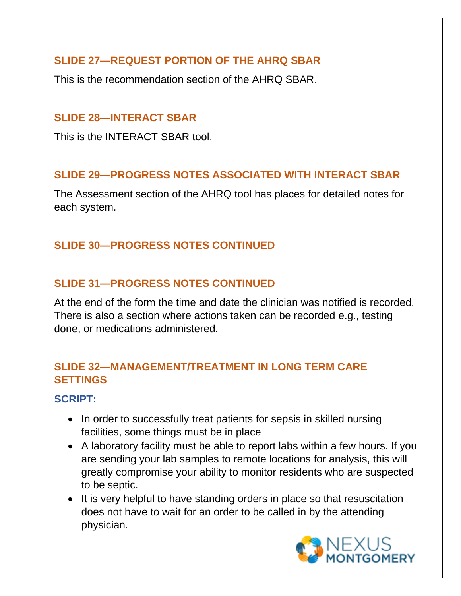#### **SLIDE 27—REQUEST PORTION OF THE AHRQ SBAR**

This is the recommendation section of the AHRQ SBAR.

#### **SLIDE 28—INTERACT SBAR**

This is the INTERACT SBAR tool.

## **SLIDE 29—PROGRESS NOTES ASSOCIATED WITH INTERACT SBAR**

The Assessment section of the AHRQ tool has places for detailed notes for each system.

## **SLIDE 30—PROGRESS NOTES CONTINUED**

## **SLIDE 31—PROGRESS NOTES CONTINUED**

At the end of the form the time and date the clinician was notified is recorded. There is also a section where actions taken can be recorded e.g., testing done, or medications administered.

#### **SLIDE 32—MANAGEMENT/TREATMENT IN LONG TERM CARE SETTINGS**

## **SCRIPT:**

- In order to successfully treat patients for sepsis in skilled nursing facilities, some things must be in place
- A laboratory facility must be able to report labs within a few hours. If you are sending your lab samples to remote locations for analysis, this will greatly compromise your ability to monitor residents who are suspected to be septic.
- It is very helpful to have standing orders in place so that resuscitation does not have to wait for an order to be called in by the attending physician.